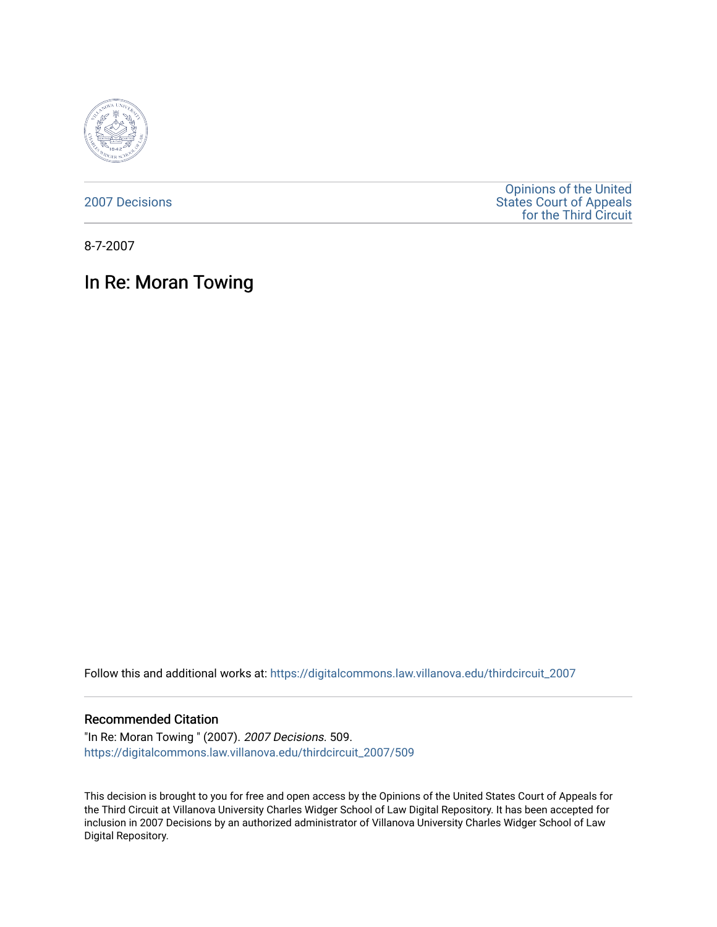

[2007 Decisions](https://digitalcommons.law.villanova.edu/thirdcircuit_2007)

[Opinions of the United](https://digitalcommons.law.villanova.edu/thirdcircuit)  [States Court of Appeals](https://digitalcommons.law.villanova.edu/thirdcircuit)  [for the Third Circuit](https://digitalcommons.law.villanova.edu/thirdcircuit) 

8-7-2007

# In Re: Moran Towing

Follow this and additional works at: [https://digitalcommons.law.villanova.edu/thirdcircuit\\_2007](https://digitalcommons.law.villanova.edu/thirdcircuit_2007?utm_source=digitalcommons.law.villanova.edu%2Fthirdcircuit_2007%2F509&utm_medium=PDF&utm_campaign=PDFCoverPages) 

### Recommended Citation

"In Re: Moran Towing " (2007). 2007 Decisions. 509. [https://digitalcommons.law.villanova.edu/thirdcircuit\\_2007/509](https://digitalcommons.law.villanova.edu/thirdcircuit_2007/509?utm_source=digitalcommons.law.villanova.edu%2Fthirdcircuit_2007%2F509&utm_medium=PDF&utm_campaign=PDFCoverPages)

This decision is brought to you for free and open access by the Opinions of the United States Court of Appeals for the Third Circuit at Villanova University Charles Widger School of Law Digital Repository. It has been accepted for inclusion in 2007 Decisions by an authorized administrator of Villanova University Charles Widger School of Law Digital Repository.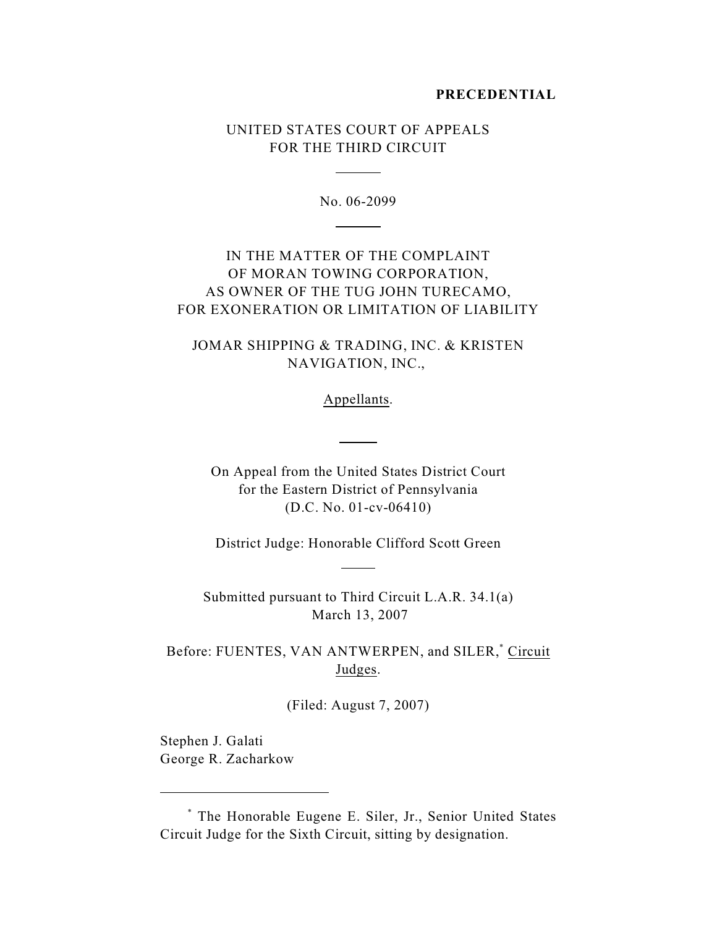#### **PRECEDENTIAL**

## UNITED STATES COURT OF APPEALS FOR THE THIRD CIRCUIT

 $\overline{a}$ 

 $\overline{a}$ 

No. 06-2099

# IN THE MATTER OF THE COMPLAINT OF MORAN TOWING CORPORATION, AS OWNER OF THE TUG JOHN TURECAMO, FOR EXONERATION OR LIMITATION OF LIABILITY

JOMAR SHIPPING & TRADING, INC. & KRISTEN NAVIGATION, INC.,

Appellants.

 $\overline{a}$ 

On Appeal from the United States District Court for the Eastern District of Pennsylvania (D.C. No. 01-cv-06410)

District Judge: Honorable Clifford Scott Green

 $\overline{a}$ 

Submitted pursuant to Third Circuit L.A.R. 34.1(a) March 13, 2007

Before: FUENTES, VAN ANTWERPEN, and SILER,\* Circuit Judges.

(Filed: August 7, 2007)

Stephen J. Galati George R. Zacharkow

The Honorable Eugene E. Siler, Jr., Senior United States \* Circuit Judge for the Sixth Circuit, sitting by designation.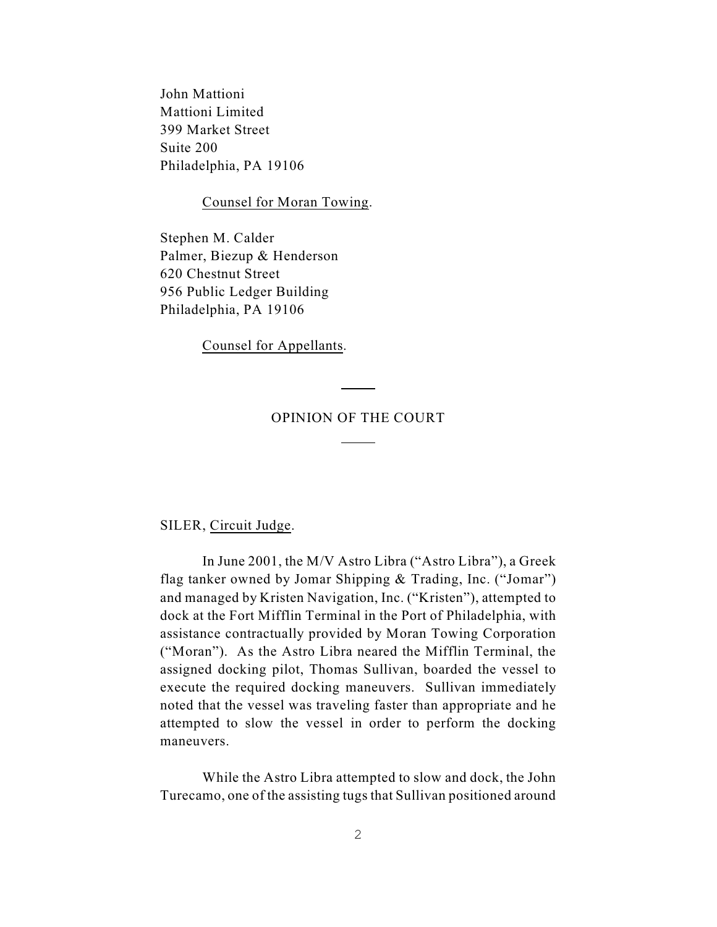John Mattioni Mattioni Limited 399 Market Street Suite 200 Philadelphia, PA 19106

Counsel for Moran Towing.

Stephen M. Calder Palmer, Biezup & Henderson 620 Chestnut Street 956 Public Ledger Building Philadelphia, PA 19106

Counsel for Appellants.

### OPINION OF THE COURT

 $\overline{a}$ 

 $\overline{a}$ 

#### SILER, Circuit Judge.

In June 2001, the M/V Astro Libra ("Astro Libra"), a Greek flag tanker owned by Jomar Shipping & Trading, Inc. ("Jomar") and managed by Kristen Navigation, Inc. ("Kristen"), attempted to dock at the Fort Mifflin Terminal in the Port of Philadelphia, with assistance contractually provided by Moran Towing Corporation ("Moran"). As the Astro Libra neared the Mifflin Terminal, the assigned docking pilot, Thomas Sullivan, boarded the vessel to execute the required docking maneuvers. Sullivan immediately noted that the vessel was traveling faster than appropriate and he attempted to slow the vessel in order to perform the docking maneuvers.

While the Astro Libra attempted to slow and dock, the John Turecamo, one of the assisting tugs that Sullivan positioned around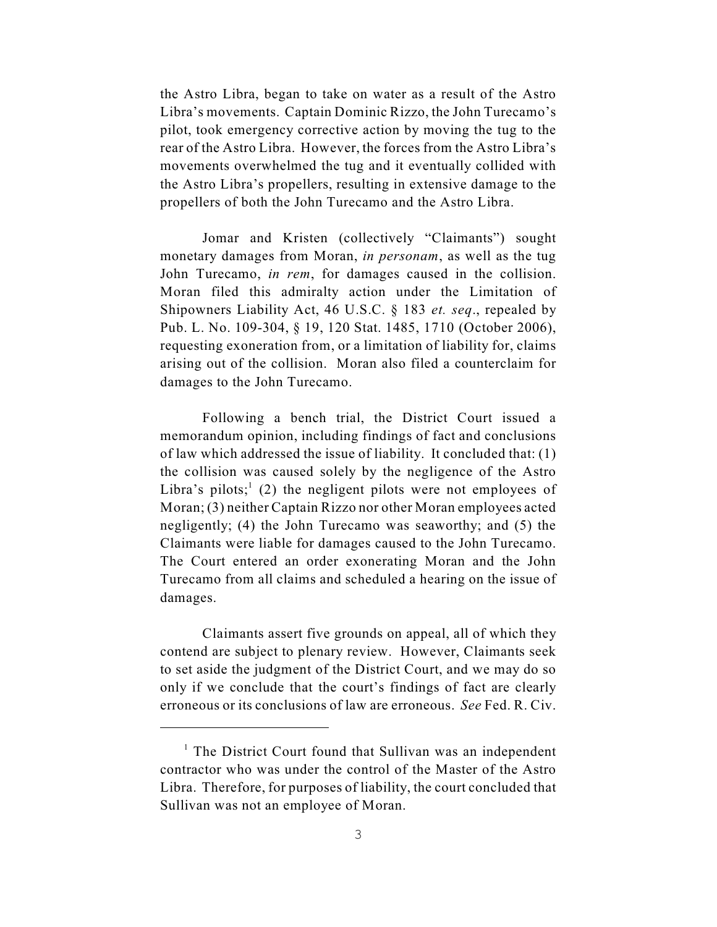the Astro Libra, began to take on water as a result of the Astro Libra's movements. Captain Dominic Rizzo, the John Turecamo's pilot, took emergency corrective action by moving the tug to the rear of the Astro Libra. However, the forces from the Astro Libra's movements overwhelmed the tug and it eventually collided with the Astro Libra's propellers, resulting in extensive damage to the propellers of both the John Turecamo and the Astro Libra.

Jomar and Kristen (collectively "Claimants") sought monetary damages from Moran, *in personam*, as well as the tug John Turecamo, *in rem*, for damages caused in the collision. Moran filed this admiralty action under the Limitation of Shipowners Liability Act, 46 U.S.C. § 183 *et. seq*., repealed by Pub. L. No. 109-304, § 19, 120 Stat. 1485, 1710 (October 2006), requesting exoneration from, or a limitation of liability for, claims arising out of the collision. Moran also filed a counterclaim for damages to the John Turecamo.

Following a bench trial, the District Court issued a memorandum opinion, including findings of fact and conclusions of law which addressed the issue of liability. It concluded that: (1) the collision was caused solely by the negligence of the Astro Libra's pilots;  $(2)$  the negligent pilots were not employees of Moran; (3) neither Captain Rizzo nor other Moran employees acted negligently; (4) the John Turecamo was seaworthy; and (5) the Claimants were liable for damages caused to the John Turecamo. The Court entered an order exonerating Moran and the John Turecamo from all claims and scheduled a hearing on the issue of damages.

Claimants assert five grounds on appeal, all of which they contend are subject to plenary review. However, Claimants seek to set aside the judgment of the District Court, and we may do so only if we conclude that the court's findings of fact are clearly erroneous or its conclusions of law are erroneous. *See* Fed. R. Civ.

 $<sup>1</sup>$  The District Court found that Sullivan was an independent</sup> contractor who was under the control of the Master of the Astro Libra. Therefore, for purposes of liability, the court concluded that Sullivan was not an employee of Moran.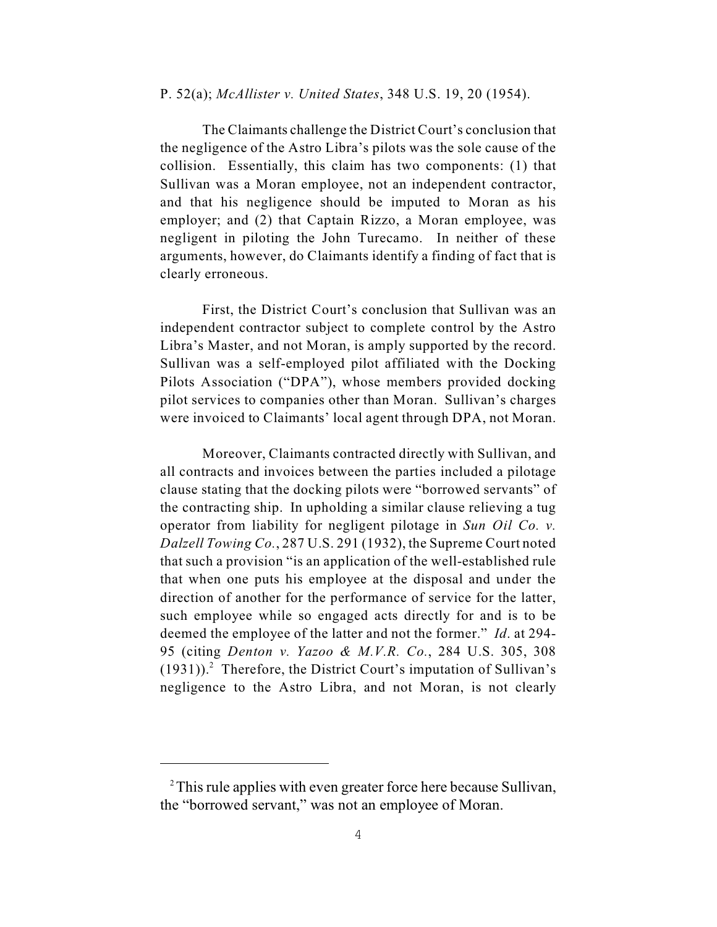### P. 52(a); *McAllister v. United States*, 348 U.S. 19, 20 (1954).

The Claimants challenge the District Court's conclusion that the negligence of the Astro Libra's pilots was the sole cause of the collision. Essentially, this claim has two components: (1) that Sullivan was a Moran employee, not an independent contractor, and that his negligence should be imputed to Moran as his employer; and (2) that Captain Rizzo, a Moran employee, was negligent in piloting the John Turecamo. In neither of these arguments, however, do Claimants identify a finding of fact that is clearly erroneous.

First, the District Court's conclusion that Sullivan was an independent contractor subject to complete control by the Astro Libra's Master, and not Moran, is amply supported by the record. Sullivan was a self-employed pilot affiliated with the Docking Pilots Association ("DPA"), whose members provided docking pilot services to companies other than Moran. Sullivan's charges were invoiced to Claimants' local agent through DPA, not Moran.

Moreover, Claimants contracted directly with Sullivan, and all contracts and invoices between the parties included a pilotage clause stating that the docking pilots were "borrowed servants" of the contracting ship. In upholding a similar clause relieving a tug operator from liability for negligent pilotage in *Sun Oil Co. v. Dalzell Towing Co.*, 287 U.S. 291 (1932), the Supreme Court noted that such a provision "is an application of the well-established rule that when one puts his employee at the disposal and under the direction of another for the performance of service for the latter, such employee while so engaged acts directly for and is to be deemed the employee of the latter and not the former." *Id*. at 294- 95 (citing *Denton v. Yazoo & M.V.R. Co.*, 284 U.S. 305, 308  $(1931)$ ).<sup>2</sup> Therefore, the District Court's imputation of Sullivan's negligence to the Astro Libra, and not Moran, is not clearly

<sup>&</sup>lt;sup>2</sup>This rule applies with even greater force here because Sullivan, the "borrowed servant," was not an employee of Moran.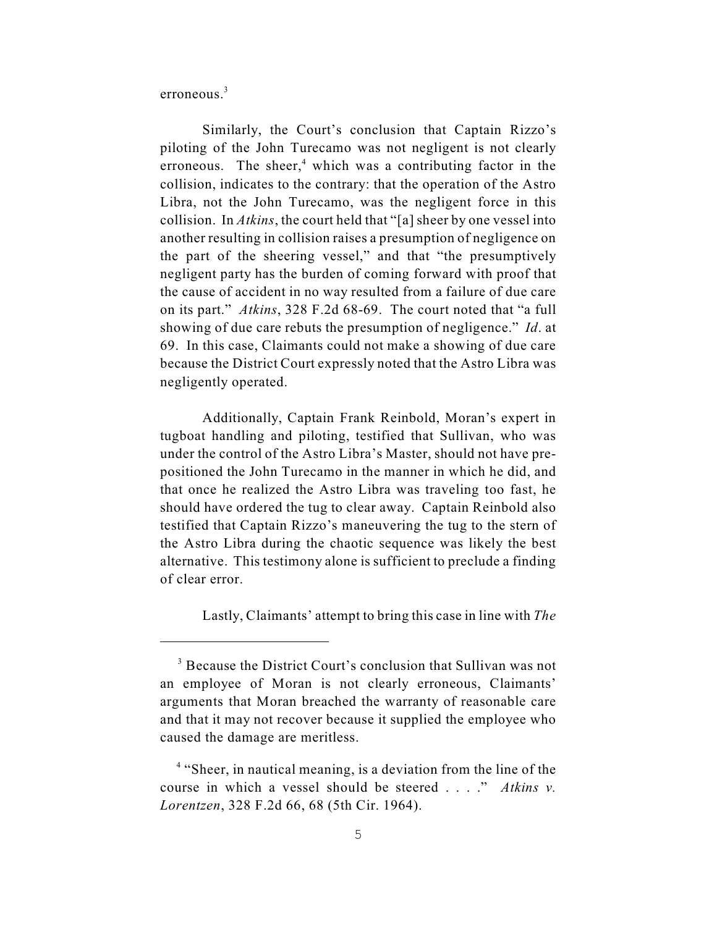erroneous $3$ 

Similarly, the Court's conclusion that Captain Rizzo's piloting of the John Turecamo was not negligent is not clearly erroneous. The sheer, $4$  which was a contributing factor in the collision, indicates to the contrary: that the operation of the Astro Libra, not the John Turecamo, was the negligent force in this collision. In *Atkins*, the court held that "[a] sheer by one vessel into another resulting in collision raises a presumption of negligence on the part of the sheering vessel," and that "the presumptively negligent party has the burden of coming forward with proof that the cause of accident in no way resulted from a failure of due care on its part." *Atkins*, 328 F.2d 68-69. The court noted that "a full showing of due care rebuts the presumption of negligence." *Id*. at 69. In this case, Claimants could not make a showing of due care because the District Court expressly noted that the Astro Libra was negligently operated.

Additionally, Captain Frank Reinbold, Moran's expert in tugboat handling and piloting, testified that Sullivan, who was under the control of the Astro Libra's Master, should not have prepositioned the John Turecamo in the manner in which he did, and that once he realized the Astro Libra was traveling too fast, he should have ordered the tug to clear away. Captain Reinbold also testified that Captain Rizzo's maneuvering the tug to the stern of the Astro Libra during the chaotic sequence was likely the best alternative. This testimony alone is sufficient to preclude a finding of clear error.

Lastly, Claimants' attempt to bring this case in line with *The*

 $3$  Because the District Court's conclusion that Sullivan was not an employee of Moran is not clearly erroneous, Claimants' arguments that Moran breached the warranty of reasonable care and that it may not recover because it supplied the employee who caused the damage are meritless.

 $4$  "Sheer, in nautical meaning, is a deviation from the line of the course in which a vessel should be steered . . . ." *Atkins v. Lorentzen*, 328 F.2d 66, 68 (5th Cir. 1964).